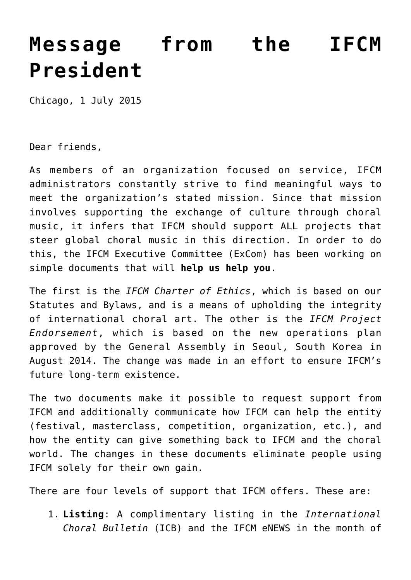## **[Message from the IFCM](http://icb.ifcm.net/message-from-the-ifcm-president/) [President](http://icb.ifcm.net/message-from-the-ifcm-president/)**

Chicago, 1 July 2015

Dear friends,

As members of an organization focused on service, IFCM administrators constantly strive to find meaningful ways to meet the organization's stated mission. Since that mission involves supporting the exchange of culture through choral music, it infers that IFCM should support ALL projects that steer global choral music in this direction. In order to do this, the IFCM Executive Committee (ExCom) has been working on simple documents that will **help us help you**.

The first is the *IFCM Charter of Ethics*, which is based on our Statutes and Bylaws, and is a means of upholding the integrity of international choral art. The other is the *IFCM Project Endorsement*, which is based on the new operations plan approved by the General Assembly in Seoul, South Korea in August 2014. The change was made in an effort to ensure IFCM's future long-term existence.

The two documents make it possible to request support from IFCM and additionally communicate how IFCM can help the entity (festival, masterclass, competition, organization, etc.), and how the entity can give something back to IFCM and the choral world. The changes in these documents eliminate people using IFCM solely for their own gain.

There are four levels of support that IFCM offers. These are:

1. **Listing**: A complimentary listing in the *International Choral Bulletin* (ICB) and the IFCM eNEWS in the month of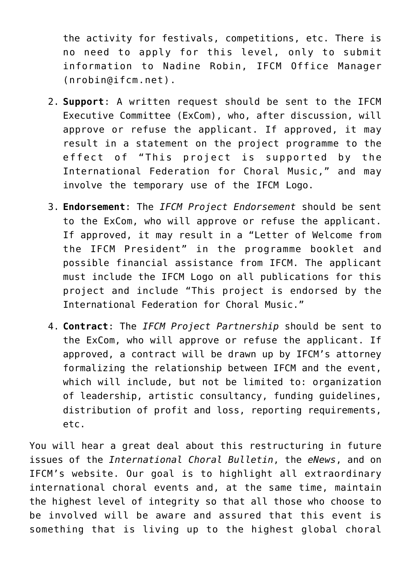the activity for festivals, competitions, etc. There is no need to apply for this level, only to submit information to Nadine Robin, IFCM Office Manager (nrobin@ifcm.net).

- 2. **Support**: A written request should be sent to the IFCM Executive Committee (ExCom), who, after discussion, will approve or refuse the applicant. If approved, it may result in a statement on the project programme to the effect of "This project is supported by the International Federation for Choral Music," and may involve the temporary use of the IFCM Logo.
- 3. **Endorsement**: The *IFCM Project Endorsement* should be sent to the ExCom, who will approve or refuse the applicant. If approved, it may result in a "Letter of Welcome from the IFCM President" in the programme booklet and possible financial assistance from IFCM. The applicant must include the IFCM Logo on all publications for this project and include "This project is endorsed by the International Federation for Choral Music."
- 4. **Contract**: The *IFCM Project Partnership* should be sent to the ExCom, who will approve or refuse the applicant. If approved, a contract will be drawn up by IFCM's attorney formalizing the relationship between IFCM and the event, which will include, but not be limited to: organization of leadership, artistic consultancy, funding guidelines, distribution of profit and loss, reporting requirements, etc.

You will hear a great deal about this restructuring in future issues of the *International Choral Bulletin*, the *eNews*, and on IFCM's website. Our goal is to highlight all extraordinary international choral events and, at the same time, maintain the highest level of integrity so that all those who choose to be involved will be aware and assured that this event is something that is living up to the highest global choral